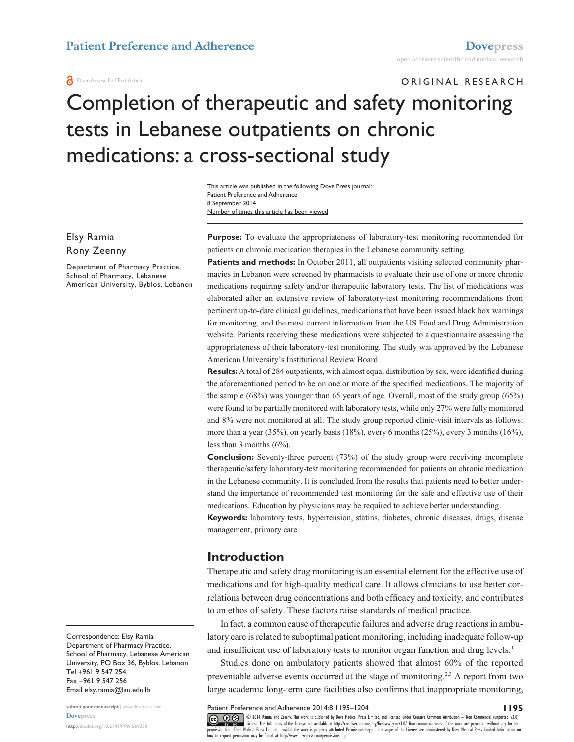#### **a** Open Access Full Text Article

ORIGINAL RESEARCH

# Completion of therapeutic and safety monitoring tests in Lebanese outpatients on chronic medications: a cross-sectional study

This article was published in the following Dove Press journal: Patient Preference and Adherence 8 September 2014 Number of times this article has been viewed

Elsy Ramia Rony Zeenny

Department of Pharmacy Practice, School of Pharmacy, Lebanese American University, Byblos, Lebanon **Purpose:** To evaluate the appropriateness of laboratory-test monitoring recommended for patients on chronic medication therapies in the Lebanese community setting.

**Patients and methods:** In October 2011, all outpatients visiting selected community pharmacies in Lebanon were screened by pharmacists to evaluate their use of one or more chronic medications requiring safety and/or therapeutic laboratory tests. The list of medications was elaborated after an extensive review of laboratory-test monitoring recommendations from pertinent up-to-date clinical guidelines, medications that have been issued black box warnings for monitoring, and the most current information from the US Food and Drug Administration website. Patients receiving these medications were subjected to a questionnaire assessing the appropriateness of their laboratory-test monitoring. The study was approved by the Lebanese American University's Institutional Review Board.

**Results:** A total of 284 outpatients, with almost equal distribution by sex, were identified during the aforementioned period to be on one or more of the specified medications. The majority of the sample (68%) was younger than 65 years of age. Overall, most of the study group (65%) were found to be partially monitored with laboratory tests, while only 27% were fully monitored and 8% were not monitored at all. The study group reported clinic-visit intervals as follows: more than a year (35%), on yearly basis (18%), every 6 months (25%), every 3 months (16%), less than 3 months (6%).

**Conclusion:** Seventy-three percent (73%) of the study group were receiving incomplete therapeutic/safety laboratory-test monitoring recommended for patients on chronic medication in the Lebanese community. It is concluded from the results that patients need to better understand the importance of recommended test monitoring for the safe and effective use of their medications. Education by physicians may be required to achieve better understanding.

**Keywords:** laboratory tests, hypertension, statins, diabetes, chronic diseases, drugs, disease management, primary care

#### **Introduction**

Therapeutic and safety drug monitoring is an essential element for the effective use of medications and for high-quality medical care. It allows clinicians to use better correlations between drug concentrations and both efficacy and toxicity, and contributes to an ethos of safety. These factors raise standards of medical practice.

In fact, a common cause of therapeutic failures and adverse drug reactions in ambulatory care is related to suboptimal patient monitoring, including inadequate follow-up and insufficient use of laboratory tests to monitor organ function and drug levels.<sup>1</sup>

Studies done on ambulatory patients showed that almost 60% of the reported preventable adverse events occurred at the stage of monitoring.2,3 A report from two large academic long-term care facilities also confirms that inappropriate monitoring,

Department of Pharmacy Practice, School of Pharmacy, Lebanese American University, PO Box 36, Byblos, Lebanon Tel +961 9 547 254 Fax +961 9 547 256 Email [elsy.ramia@lau.edu.lb](mailto:elsy.ramia@lau.edu.lb)

**submit your manuscript** | <www.dovepress.com> **[Dovepress](www.dovepress.com) <http://dx.doi.org/10.2147/PPA.S69250>**

Correspondence: Elsy Ramia

Patient Preference and Adherence 2014:8 1195–1204

**1195**

CO ODI4 Ramia and Zeenry. This work is published by Dove Medical Press Limited, and licensed under Creative Commons Attribution — Non Commercial (unported, v3.0)<br> [permission from Dove M](http://www.dovepress.com/permissions.php)edical Press Limited, provided the wo how to request permission may be found at: http://www.dovepress.com/permissions.php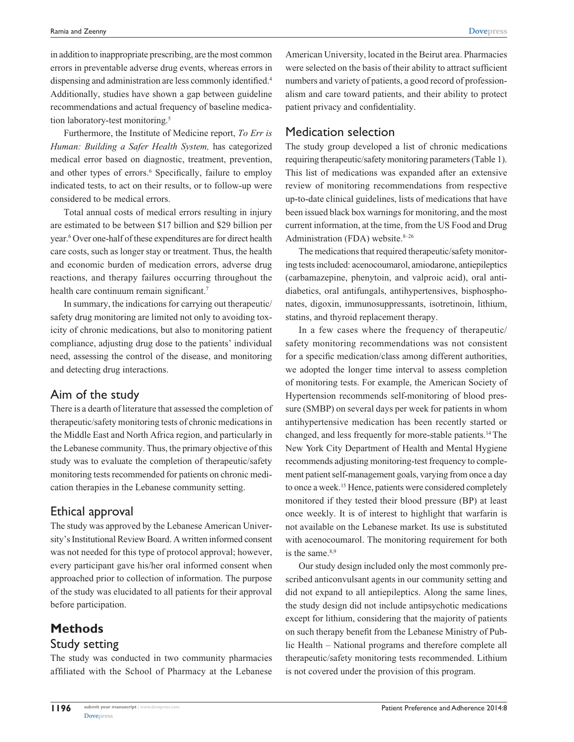in addition to inappropriate prescribing, are the most common errors in preventable adverse drug events, whereas errors in dispensing and administration are less commonly identified.<sup>4</sup> Additionally, studies have shown a gap between guideline recommendations and actual frequency of baseline medication laboratory-test monitoring.<sup>5</sup>

Furthermore, the Institute of Medicine report, *To Err is Human: Building a Safer Health System,* has categorized medical error based on diagnostic, treatment, prevention, and other types of errors.<sup>6</sup> Specifically, failure to employ indicated tests, to act on their results, or to follow-up were considered to be medical errors.

Total annual costs of medical errors resulting in injury are estimated to be between \$17 billion and \$29 billion per year.6 Over one-half of these expenditures are for direct health care costs, such as longer stay or treatment. Thus, the health and economic burden of medication errors, adverse drug reactions, and therapy failures occurring throughout the health care continuum remain significant.<sup>7</sup>

In summary, the indications for carrying out therapeutic/ safety drug monitoring are limited not only to avoiding toxicity of chronic medications, but also to monitoring patient compliance, adjusting drug dose to the patients' individual need, assessing the control of the disease, and monitoring and detecting drug interactions.

## Aim of the study

There is a dearth of literature that assessed the completion of therapeutic/safety monitoring tests of chronic medications in the Middle East and North Africa region, and particularly in the Lebanese community. Thus, the primary objective of this study was to evaluate the completion of therapeutic/safety monitoring tests recommended for patients on chronic medication therapies in the Lebanese community setting.

## Ethical approval

The study was approved by the Lebanese American University's Institutional Review Board. A written informed consent was not needed for this type of protocol approval; however, every participant gave his/her oral informed consent when approached prior to collection of information. The purpose of the study was elucidated to all patients for their approval before participation.

## **Methods** Study setting

The study was conducted in two community pharmacies affiliated with the School of Pharmacy at the Lebanese

American University, located in the Beirut area. Pharmacies were selected on the basis of their ability to attract sufficient numbers and variety of patients, a good record of professionalism and care toward patients, and their ability to protect patient privacy and confidentiality.

## Medication selection

The study group developed a list of chronic medications requiring therapeutic/safety monitoring parameters (Table 1). This list of medications was expanded after an extensive review of monitoring recommendations from respective up-to-date clinical guidelines, lists of medications that have been issued black box warnings for monitoring, and the most current information, at the time, from the US Food and Drug Administration (FDA) website. $8-26$ 

The medications that required therapeutic/safety monitoring tests included: acenocoumarol, amiodarone, antiepileptics (carbamazepine, phenytoin, and valproic acid), oral antidiabetics, oral antifungals, antihypertensives, bisphosphonates, digoxin, immunosuppressants, isotretinoin, lithium, statins, and thyroid replacement therapy.

In a few cases where the frequency of therapeutic/ safety monitoring recommendations was not consistent for a specific medication/class among different authorities, we adopted the longer time interval to assess completion of monitoring tests. For example, the American Society of Hypertension recommends self-monitoring of blood pressure (SMBP) on several days per week for patients in whom antihypertensive medication has been recently started or changed, and less frequently for more-stable patients.14 The New York City Department of Health and Mental Hygiene recommends adjusting monitoring-test frequency to complement patient self-management goals, varying from once a day to once a week.15 Hence, patients were considered completely monitored if they tested their blood pressure (BP) at least once weekly. It is of interest to highlight that warfarin is not available on the Lebanese market. Its use is substituted with acenocoumarol. The monitoring requirement for both is the same.<sup>8,9</sup>

Our study design included only the most commonly prescribed anticonvulsant agents in our community setting and did not expand to all antiepileptics. Along the same lines, the study design did not include antipsychotic medications except for lithium, considering that the majority of patients on such therapy benefit from the Lebanese Ministry of Public Health – National programs and therefore complete all therapeutic/safety monitoring tests recommended. Lithium is not covered under the provision of this program.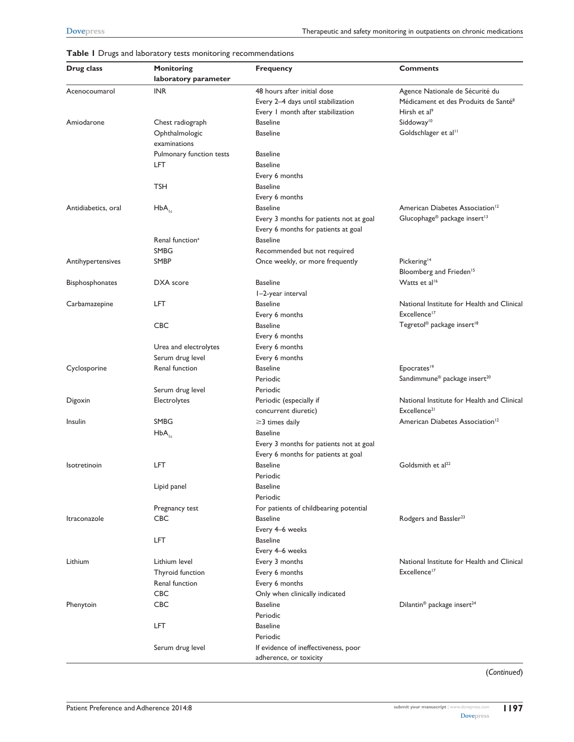| Drug class          | Monitoring<br>laboratory parameter | <b>Frequency</b>                        | <b>Comments</b>                                                        |
|---------------------|------------------------------------|-----------------------------------------|------------------------------------------------------------------------|
| Acenocoumarol       | INR                                | 48 hours after initial dose             | Agence Nationale de Sécurité du                                        |
|                     |                                    | Every 2-4 days until stabilization      | Médicament et des Produits de Santé <sup>8</sup>                       |
|                     |                                    | Every 1 month after stabilization       | Hirsh et al <sup>9</sup>                                               |
| Amiodarone          | Chest radiograph                   | <b>Baseline</b>                         | Siddoway <sup>10</sup>                                                 |
|                     | Ophthalmologic                     | <b>Baseline</b>                         | Goldschlager et al <sup>11</sup>                                       |
|                     | examinations                       |                                         |                                                                        |
|                     | Pulmonary function tests           | <b>Baseline</b>                         |                                                                        |
|                     | LFT                                | <b>Baseline</b>                         |                                                                        |
|                     |                                    | Every 6 months                          |                                                                        |
|                     | TSH                                | <b>Baseline</b>                         |                                                                        |
|                     |                                    | Every 6 months                          |                                                                        |
| Antidiabetics, oral | $HbA_{1c}$                         | <b>Baseline</b>                         | American Diabetes Association <sup>12</sup>                            |
|                     |                                    | Every 3 months for patients not at goal | Glucophage® package insert <sup>13</sup>                               |
|                     |                                    | Every 6 months for patients at goal     |                                                                        |
|                     | Renal function <sup>a</sup>        | <b>Baseline</b>                         |                                                                        |
|                     | SMBG                               | Recommended but not required            |                                                                        |
| Antihypertensives   | <b>SMBP</b>                        | Once weekly, or more frequently         | Pickering <sup>14</sup>                                                |
|                     |                                    |                                         | Bloomberg and Frieden <sup>15</sup>                                    |
| Bisphosphonates     | DXA score                          | <b>Baseline</b>                         | Watts et al <sup>16</sup>                                              |
|                     |                                    | I-2-year interval                       |                                                                        |
| Carbamazepine       | <b>LFT</b>                         | <b>Baseline</b>                         | National Institute for Health and Clinical                             |
|                     |                                    | Every 6 months                          | Excellence <sup>17</sup>                                               |
|                     | <b>CBC</b>                         | <b>Baseline</b>                         | Tegretol <sup>®</sup> package insert <sup>18</sup>                     |
|                     |                                    | Every 6 months                          |                                                                        |
|                     | Urea and electrolytes              | Every 6 months                          |                                                                        |
|                     | Serum drug level                   | Every 6 months                          |                                                                        |
| Cyclosporine        | Renal function                     | <b>Baseline</b>                         | Epocrates <sup>19</sup>                                                |
|                     |                                    | Periodic                                | Sandimmune <sup>®</sup> package insert <sup>20</sup>                   |
|                     |                                    | Periodic                                |                                                                        |
|                     | Serum drug level                   |                                         |                                                                        |
| Digoxin             | Electrolytes                       | Periodic (especially if                 | National Institute for Health and Clinical<br>Excellence <sup>21</sup> |
|                     | SMBG                               | concurrent diuretic)                    |                                                                        |
| Insulin             |                                    | $\geq$ 3 times daily                    | American Diabetes Association <sup>12</sup>                            |
|                     | $HbA_{1c}$                         | <b>Baseline</b>                         |                                                                        |
|                     |                                    | Every 3 months for patients not at goal |                                                                        |
|                     |                                    | Every 6 months for patients at goal     |                                                                        |
| Isotretinoin        | LFT                                | <b>Baseline</b>                         | Goldsmith et al <sup>22</sup>                                          |
|                     |                                    | Periodic                                |                                                                        |
|                     | Lipid panel                        | <b>Baseline</b>                         |                                                                        |
|                     |                                    | Periodic                                |                                                                        |
|                     | Pregnancy test                     | For patients of childbearing potential  |                                                                        |
| Itraconazole        | CBC                                | <b>Baseline</b>                         | Rodgers and Bassler <sup>23</sup>                                      |
|                     |                                    | Every 4–6 weeks                         |                                                                        |
|                     | LFT                                | <b>Baseline</b>                         |                                                                        |
|                     |                                    | Every 4-6 weeks                         |                                                                        |
| Lithium             | Lithium level                      | Every 3 months                          | National Institute for Health and Clinical                             |
|                     | Thyroid function                   | Every 6 months                          | Excellence <sup>17</sup>                                               |
|                     | Renal function                     | Every 6 months                          |                                                                        |
|                     | <b>CBC</b>                         | Only when clinically indicated          |                                                                        |
| Phenytoin           | CBC                                | <b>Baseline</b>                         | Dilantin <sup>®</sup> package insert <sup>24</sup>                     |
|                     |                                    | Periodic                                |                                                                        |
|                     | LFT                                | <b>Baseline</b>                         |                                                                        |
|                     |                                    | Periodic                                |                                                                        |
|                     | Serum drug level                   | If evidence of ineffectiveness, poor    |                                                                        |
|                     |                                    | adherence, or toxicity                  |                                                                        |

#### **Table 1** Drugs and laboratory tests monitoring recommendations

(*Continued*)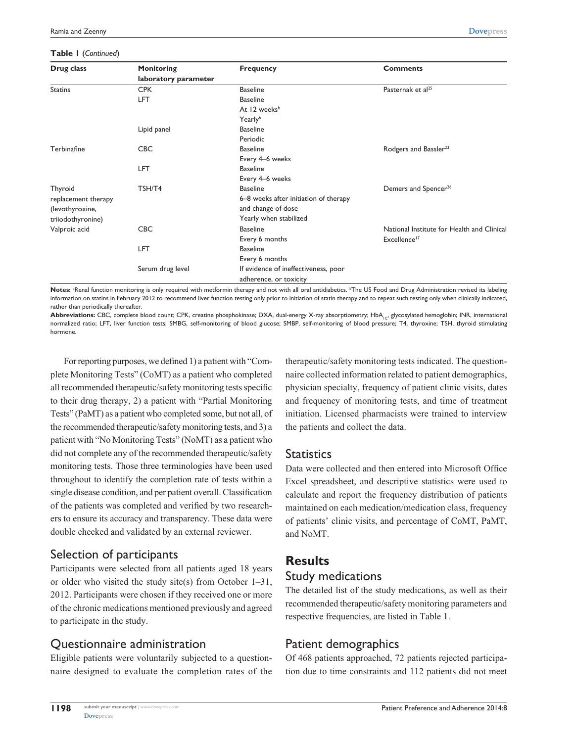#### **Table 1** (*Continued*)

| Drug class          | <b>Monitoring</b>    | <b>Frequency</b>                      | <b>Comments</b>                            |
|---------------------|----------------------|---------------------------------------|--------------------------------------------|
|                     | laboratory parameter |                                       |                                            |
| <b>Statins</b>      | <b>CPK</b>           | <b>Baseline</b>                       | Pasternak et al <sup>25</sup>              |
|                     | <b>LFT</b>           | <b>Baseline</b>                       |                                            |
|                     |                      | At 12 weeks <sup>b</sup>              |                                            |
|                     |                      | Yearlyb                               |                                            |
|                     | Lipid panel          | <b>Baseline</b>                       |                                            |
|                     |                      | Periodic                              |                                            |
| Terbinafine         | <b>CBC</b>           | <b>Baseline</b>                       | Rodgers and Bassler <sup>23</sup>          |
|                     |                      | Every 4-6 weeks                       |                                            |
|                     | LFT                  | <b>Baseline</b>                       |                                            |
|                     |                      | Every 4-6 weeks                       |                                            |
| Thyroid             | TSH/T4               | <b>Baseline</b>                       | Demers and Spencer <sup>26</sup>           |
| replacement therapy |                      | 6-8 weeks after initiation of therapy |                                            |
| (levothyroxine,     |                      | and change of dose                    |                                            |
| triiodothyronine)   |                      | Yearly when stabilized                |                                            |
| Valproic acid       | <b>CBC</b>           | <b>Baseline</b>                       | National Institute for Health and Clinical |
|                     |                      | Every 6 months                        | Excellence <sup>17</sup>                   |
|                     | LFT                  | <b>Baseline</b>                       |                                            |
|                     |                      | Every 6 months                        |                                            |
|                     | Serum drug level     | If evidence of ineffectiveness, poor  |                                            |
|                     |                      | adherence, or toxicity                |                                            |

Notes: <sup>a</sup>Renal function monitoring is only required with metformin therapy and not with all oral antidiabetics. <sup>b</sup>The US Food and Drug Administration revised its labeling information on statins in February 2012 to recommend liver function testing only prior to initiation of statin therapy and to repeat such testing only when clinically indicated, rather than periodically thereafter.

Abbreviations: CBC, complete blood count; CPK, creatine phosphokinase; DXA, dual-energy X-ray absorptiometry; HbA<sub>1c</sub>, glycosylated hemoglobin; INR, international normalized ratio; LFT, liver function tests; SMBG, self-monitoring of blood glucose; SMBP, self-monitoring of blood pressure; T4, thyroxine; TSH, thyroid stimulating hormone.

For reporting purposes, we defined 1) a patient with "Complete Monitoring Tests" (CoMT) as a patient who completed all recommended therapeutic/safety monitoring tests specific to their drug therapy, 2) a patient with "Partial Monitoring Tests" (PaMT) as a patient who completed some, but not all, of the recommended therapeutic/safety monitoring tests, and 3) a patient with "No Monitoring Tests" (NoMT) as a patient who did not complete any of the recommended therapeutic/safety monitoring tests. Those three terminologies have been used throughout to identify the completion rate of tests within a single disease condition, and per patient overall. Classification of the patients was completed and verified by two researchers to ensure its accuracy and transparency. These data were double checked and validated by an external reviewer.

## Selection of participants

Participants were selected from all patients aged 18 years or older who visited the study site(s) from October 1–31, 2012. Participants were chosen if they received one or more of the chronic medications mentioned previously and agreed to participate in the study.

## Questionnaire administration

Eligible patients were voluntarily subjected to a questionnaire designed to evaluate the completion rates of the therapeutic/safety monitoring tests indicated. The questionnaire collected information related to patient demographics, physician specialty, frequency of patient clinic visits, dates and frequency of monitoring tests, and time of treatment initiation. Licensed pharmacists were trained to interview the patients and collect the data.

#### **Statistics**

Data were collected and then entered into Microsoft Office Excel spreadsheet, and descriptive statistics were used to calculate and report the frequency distribution of patients maintained on each medication/medication class, frequency of patients' clinic visits, and percentage of CoMT, PaMT, and NoMT.

# **Results** Study medications

The detailed list of the study medications, as well as their recommended therapeutic/safety monitoring parameters and respective frequencies, are listed in Table 1.

## Patient demographics

Of 468 patients approached, 72 patients rejected participation due to time constraints and 112 patients did not meet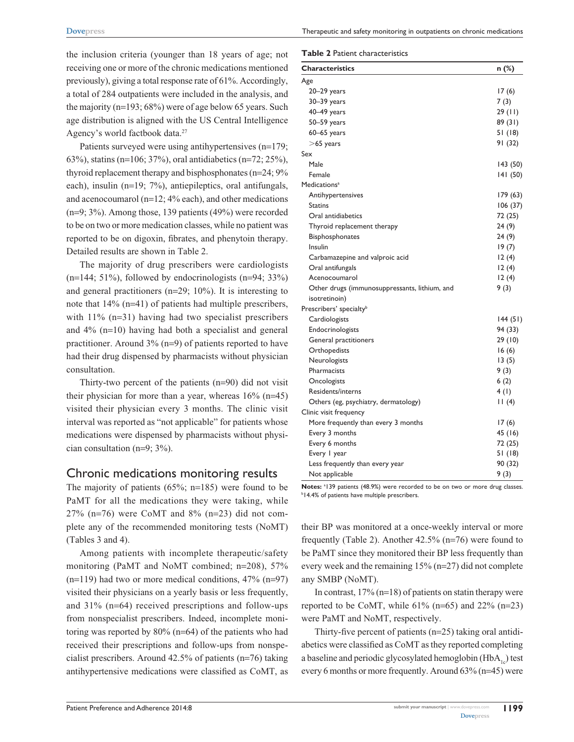Therapeutic and safety monitoring in outpatients on chronic medications

the inclusion criteria (younger than 18 years of age; not receiving one or more of the chronic medications mentioned previously), giving a total response rate of 61%. Accordingly, a total of 284 outpatients were included in the analysis, and the majority (n=193; 68%) were of age below 65 years. Such age distribution is aligned with the US Central Intelligence Agency's world factbook data.27

Patients surveyed were using antihypertensives (n=179; 63%), statins (n=106; 37%), oral antidiabetics (n=72; 25%), thyroid replacement therapy and bisphosphonates (n=24; 9% each), insulin (n=19; 7%), antiepileptics, oral antifungals, and acenocoumarol (n=12; 4% each), and other medications (n=9; 3%). Among those, 139 patients (49%) were recorded to be on two or more medication classes, while no patient was reported to be on digoxin, fibrates, and phenytoin therapy. Detailed results are shown in Table 2.

The majority of drug prescribers were cardiologists  $(n=144; 51\%)$ , followed by endocrinologists  $(n=94; 33\%)$ and general practitioners (n=29; 10%). It is interesting to note that 14% (n=41) of patients had multiple prescribers, with  $11\%$  (n=31) having had two specialist prescribers and 4% (n=10) having had both a specialist and general practitioner. Around 3% (n=9) of patients reported to have had their drug dispensed by pharmacists without physician consultation.

Thirty-two percent of the patients (n=90) did not visit their physician for more than a year, whereas 16% (n=45) visited their physician every 3 months. The clinic visit interval was reported as "not applicable" for patients whose medications were dispensed by pharmacists without physician consultation (n=9; 3%).

## Chronic medications monitoring results

The majority of patients  $(65\%; n=185)$  were found to be PaMT for all the medications they were taking, while  $27\%$  (n=76) were CoMT and 8% (n=23) did not complete any of the recommended monitoring tests (NoMT) (Tables 3 and 4).

Among patients with incomplete therapeutic/safety monitoring (PaMT and NoMT combined; n=208), 57%  $(n=119)$  had two or more medical conditions, 47%  $(n=97)$ visited their physicians on a yearly basis or less frequently, and 31% (n=64) received prescriptions and follow-ups from nonspecialist prescribers. Indeed, incomplete monitoring was reported by 80% (n=64) of the patients who had received their prescriptions and follow-ups from nonspecialist prescribers. Around 42.5% of patients (n=76) taking antihypertensive medications were classified as CoMT, as

**Table 2** Patient characteristics

| <b>Characteristics</b>                        | n (%)    |
|-----------------------------------------------|----------|
| Age                                           |          |
| 20–29 years                                   | 17(6)    |
| $30 - 39$ years                               | 7(3)     |
| 40-49 years                                   | 29(11)   |
| 50-59 years                                   | 89(31)   |
| 60-65 years                                   | 51(18)   |
| $>$ 65 years                                  | 91 (32)  |
| Sex                                           |          |
| Male                                          | 143 (50) |
| Female                                        | 141(50)  |
| Medications <sup>a</sup>                      |          |
| Antihypertensives                             | 179 (63) |
| Statins                                       | 106(37)  |
| Oral antidiabetics                            | 72 (25)  |
| Thyroid replacement therapy                   | 24(9)    |
| <b>Bisphosphonates</b>                        | 24 (9)   |
| Insulin                                       | 19(7)    |
| Carbamazepine and valproic acid               | 12(4)    |
| Oral antifungals                              | 12(4)    |
| Acenocoumarol                                 | 12(4)    |
| Other drugs (immunosuppressants, lithium, and | 9(3)     |
| isotretinoin)                                 |          |
| Prescribers' specialty <sup>b</sup>           |          |
| Cardiologists                                 | 144(51)  |
| Endocrinologists                              | 94 (33)  |
| General practitioners                         | 29(10)   |
| Orthopedists                                  | 16(6)    |
| Neurologists                                  | 13(5)    |
| Pharmacists                                   | 9(3)     |
| Oncologists                                   | 6(2)     |
| Residents/interns                             | 4(1)     |
| Others (eg, psychiatry, dermatology)          | 11(4)    |
| Clinic visit frequency                        |          |
| More frequently than every 3 months           | 17(6)    |
| Every 3 months                                | 45 (16)  |
| Every 6 months                                | 72 (25)  |
| Every I year                                  | 51 (18)  |
| Less frequently than every year               | 90 (32)  |
| Not applicable                                | 9(3)     |

**Notes:** <sup>a</sup> 139 patients (48.9%) were recorded to be on two or more drug classes.<br><sup>b 14.4% of patients have multiple prescribers</sup> **14.4% of patients have multiple prescribers.** 

their BP was monitored at a once-weekly interval or more frequently (Table 2). Another 42.5% (n=76) were found to be PaMT since they monitored their BP less frequently than every week and the remaining 15% (n=27) did not complete any SMBP (NoMT).

In contrast,  $17\%$  (n=18) of patients on statin therapy were reported to be CoMT, while  $61\%$  (n=65) and  $22\%$  (n=23) were PaMT and NoMT, respectively.

Thirty-five percent of patients (n=25) taking oral antidiabetics were classified as CoMT as they reported completing a baseline and periodic glycosylated hemoglobin  $(HbA<sub>1c</sub>)$  test every 6 months or more frequently. Around 63% (n=45) were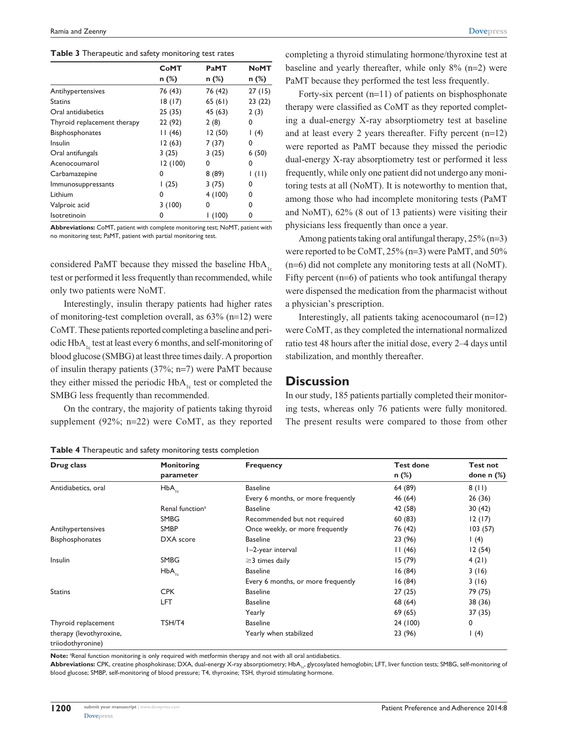#### **Table 3** Therapeutic and safety monitoring test rates

|                             | <b>CoMT</b> | PaMT    | NoMT    |
|-----------------------------|-------------|---------|---------|
|                             | n (%)       | $n$ (%) | $n$ (%) |
| Antihypertensives           | 76 (43)     | 76 (42) | 27(15)  |
| <b>Statins</b>              | 18(17)      | 65(61)  | 23(22)  |
| Oral antidiabetics          | 25(35)      | 45 (63) | 2(3)    |
| Thyroid replacement therapy | 22 (92)     | 2(8)    | 0       |
| <b>Bisphosphonates</b>      | 11(46)      | 12(50)  | 1(4)    |
| Insulin                     | 12(63)      | 7(37)   | 0       |
| Oral antifungals            | 3(25)       | 3(25)   | 6(50)   |
| Acenocoumarol               | 12(100)     | 0       | 0       |
| Carbamazepine               | 0           | 8(89)   | 1(11)   |
| <i>Immunosuppressants</i>   | 1(25)       | 3(75)   | 0       |
| Lithium                     | 0           | 4(100)  | 0       |
| Valproic acid               | 3(100)      | 0       | 0       |
| Isotretinoin                | 0           | 1(100)  | 0       |

**Abbreviations:** CoMT, patient with complete monitoring test; NoMT, patient with no monitoring test; PaMT, patient with partial monitoring test.

considered PaMT because they missed the baseline  $HbA<sub>1c</sub>$ test or performed it less frequently than recommended, while only two patients were NoMT.

Interestingly, insulin therapy patients had higher rates of monitoring-test completion overall, as 63% (n=12) were CoMT. These patients reported completing a baseline and periodic  $HbA<sub>1c</sub>$  test at least every 6 months, and self-monitoring of blood glucose (SMBG) at least three times daily. A proportion of insulin therapy patients (37%; n=7) were PaMT because they either missed the periodic  $HbA<sub>1c</sub>$  test or completed the SMBG less frequently than recommended.

On the contrary, the majority of patients taking thyroid supplement (92%; n=22) were CoMT, as they reported

completing a thyroid stimulating hormone/thyroxine test at baseline and yearly thereafter, while only 8% (n=2) were PaMT because they performed the test less frequently.

Forty-six percent (n=11) of patients on bisphosphonate therapy were classified as CoMT as they reported completing a dual-energy X-ray absorptiometry test at baseline and at least every 2 years thereafter. Fifty percent (n=12) were reported as PaMT because they missed the periodic dual-energy X-ray absorptiometry test or performed it less frequently, while only one patient did not undergo any monitoring tests at all (NoMT). It is noteworthy to mention that, among those who had incomplete monitoring tests (PaMT and NoMT), 62% (8 out of 13 patients) were visiting their physicians less frequently than once a year.

Among patients taking oral antifungal therapy, 25% (n=3) were reported to be CoMT, 25% (n=3) were PaMT, and 50% (n=6) did not complete any monitoring tests at all (NoMT). Fifty percent (n=6) of patients who took antifungal therapy were dispensed the medication from the pharmacist without a physician's prescription.

Interestingly, all patients taking acenocoumarol (n=12) were CoMT, as they completed the international normalized ratio test 48 hours after the initial dose, every 2–4 days until stabilization, and monthly thereafter.

#### **Discussion**

In our study, 185 patients partially completed their monitoring tests, whereas only 76 patients were fully monitored. The present results were compared to those from other

| Drug class                                   | <b>Monitoring</b>           | <b>Frequency</b>                   | <b>Test done</b> | <b>Test not</b>   |
|----------------------------------------------|-----------------------------|------------------------------------|------------------|-------------------|
|                                              | parameter                   |                                    | $n$ (%)          | done $n$ $%$      |
| Antidiabetics, oral                          | $HbA_{1c}$                  | <b>Baseline</b>                    | 64 (89)          | 8(11)             |
|                                              |                             | Every 6 months, or more frequently | 46 (64)          | 26(36)            |
|                                              | Renal function <sup>a</sup> | <b>Baseline</b>                    | 42 (58)          | 30(42)            |
|                                              | <b>SMBG</b>                 | Recommended but not required       | 60(83)           | 12(17)            |
| Antihypertensives                            | <b>SMBP</b>                 | Once weekly, or more frequently    | 76 (42)          | 103(57)           |
| <b>Bisphosphonates</b>                       | DXA score                   | <b>Baseline</b>                    | 23 (96)          | $\left( 4\right)$ |
|                                              |                             | I-2-year interval                  | 11(46)           | 12(54)            |
| Insulin                                      | <b>SMBG</b>                 | $\geq$ 3 times daily               | 15(79)           | 4(21)             |
|                                              | $HbA_{1c}$                  | <b>Baseline</b>                    | 16(84)           | 3(16)             |
|                                              |                             | Every 6 months, or more frequently | 16(84)           | 3(16)             |
| <b>Statins</b>                               | <b>CPK</b>                  | <b>Baseline</b>                    | 27(25)           | 79 (75)           |
|                                              | LFT                         | <b>Baseline</b>                    | 68 (64)          | 38 (36)           |
|                                              |                             | Yearly                             | 69(65)           | 37 (35)           |
| Thyroid replacement                          | TSH/T4                      | <b>Baseline</b>                    | 24 (100)         | 0                 |
| therapy (levothyroxine,<br>triiodothyronine) |                             | Yearly when stabilized             | 23 (96)          | 1(4)              |

**Table 4** Therapeutic and safety monitoring tests completion

Note: <sup>a</sup>Renal function monitoring is only required with metformin therapy and not with all oral antidiabetics.

Abbreviations: CPK, creatine phosphokinase; DXA, dual-energy X-ray absorptiometry; HbA<sub>1c</sub>, glycosylated hemoglobin; LFT, liver function tests; SMBG, self-monitoring of blood glucose; SMBP, self-monitoring of blood pressure; T4, thyroxine; TSH, thyroid stimulating hormone.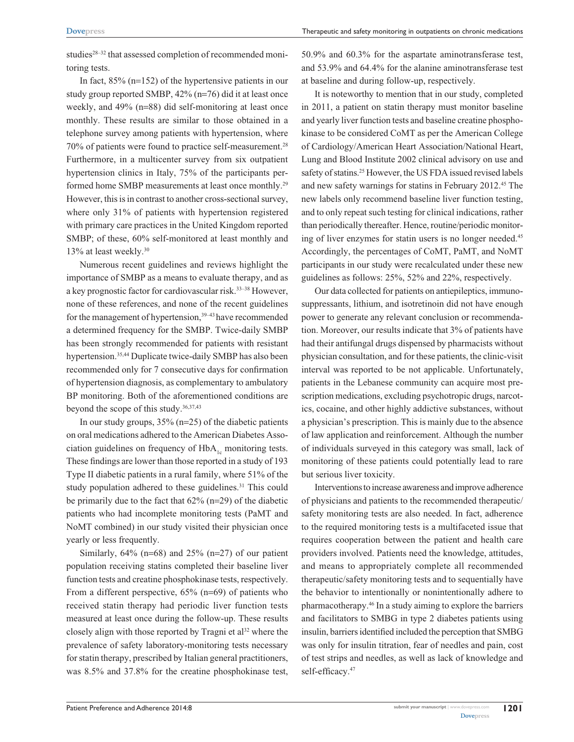studies<sup>28–32</sup> that assessed completion of recommended monitoring tests.

In fact,  $85\%$  (n=152) of the hypertensive patients in our study group reported SMBP, 42% (n=76) did it at least once weekly, and 49% (n=88) did self-monitoring at least once monthly. These results are similar to those obtained in a telephone survey among patients with hypertension, where 70% of patients were found to practice self-measurement.28 Furthermore, in a multicenter survey from six outpatient hypertension clinics in Italy, 75% of the participants performed home SMBP measurements at least once monthly.<sup>29</sup> However, this is in contrast to another cross-sectional survey, where only 31% of patients with hypertension registered with primary care practices in the United Kingdom reported SMBP; of these, 60% self-monitored at least monthly and 13% at least weekly.30

Numerous recent guidelines and reviews highlight the importance of SMBP as a means to evaluate therapy, and as a key prognostic factor for cardiovascular risk.33–38 However, none of these references, and none of the recent guidelines for the management of hypertension,<sup>39-43</sup> have recommended a determined frequency for the SMBP. Twice-daily SMBP has been strongly recommended for patients with resistant hypertension.<sup>35,44</sup> Duplicate twice-daily SMBP has also been recommended only for 7 consecutive days for confirmation of hypertension diagnosis, as complementary to ambulatory BP monitoring. Both of the aforementioned conditions are beyond the scope of this study.36,37,43

In our study groups, 35% (n=25) of the diabetic patients on oral medications adhered to the American Diabetes Association guidelines on frequency of  $HbA<sub>1c</sub>$  monitoring tests. These findings are lower than those reported in a study of 193 Type II diabetic patients in a rural family, where 51% of the study population adhered to these guidelines.<sup>31</sup> This could be primarily due to the fact that 62% (n=29) of the diabetic patients who had incomplete monitoring tests (PaMT and NoMT combined) in our study visited their physician once yearly or less frequently.

Similarly,  $64\%$  (n=68) and  $25\%$  (n=27) of our patient population receiving statins completed their baseline liver function tests and creatine phosphokinase tests, respectively. From a different perspective, 65% (n=69) of patients who received statin therapy had periodic liver function tests measured at least once during the follow-up. These results closely align with those reported by Tragni et  $a^{32}$  where the prevalence of safety laboratory-monitoring tests necessary for statin therapy, prescribed by Italian general practitioners, was 8.5% and 37.8% for the creatine phosphokinase test, 50.9% and 60.3% for the aspartate aminotransferase test, and 53.9% and 64.4% for the alanine aminotransferase test at baseline and during follow-up, respectively.

It is noteworthy to mention that in our study, completed in 2011, a patient on statin therapy must monitor baseline and yearly liver function tests and baseline creatine phosphokinase to be considered CoMT as per the American College of Cardiology/American Heart Association/National Heart, Lung and Blood Institute 2002 clinical advisory on use and safety of statins.<sup>25</sup> However, the US FDA issued revised labels and new safety warnings for statins in February 2012.45 The new labels only recommend baseline liver function testing, and to only repeat such testing for clinical indications, rather than periodically thereafter. Hence, routine/periodic monitoring of liver enzymes for statin users is no longer needed.<sup>45</sup> Accordingly, the percentages of CoMT, PaMT, and NoMT participants in our study were recalculated under these new guidelines as follows: 25%, 52% and 22%, respectively.

Our data collected for patients on antiepileptics, immunosuppressants, lithium, and isotretinoin did not have enough power to generate any relevant conclusion or recommendation. Moreover, our results indicate that 3% of patients have had their antifungal drugs dispensed by pharmacists without physician consultation, and for these patients, the clinic-visit interval was reported to be not applicable. Unfortunately, patients in the Lebanese community can acquire most prescription medications, excluding psychotropic drugs, narcotics, cocaine, and other highly addictive substances, without a physician's prescription. This is mainly due to the absence of law application and reinforcement. Although the number of individuals surveyed in this category was small, lack of monitoring of these patients could potentially lead to rare but serious liver toxicity.

Interventions to increase awareness and improve adherence of physicians and patients to the recommended therapeutic/ safety monitoring tests are also needed. In fact, adherence to the required monitoring tests is a multifaceted issue that requires cooperation between the patient and health care providers involved. Patients need the knowledge, attitudes, and means to appropriately complete all recommended therapeutic/safety monitoring tests and to sequentially have the behavior to intentionally or nonintentionally adhere to pharmacotherapy.46 In a study aiming to explore the barriers and facilitators to SMBG in type 2 diabetes patients using insulin, barriers identified included the perception that SMBG was only for insulin titration, fear of needles and pain, cost of test strips and needles, as well as lack of knowledge and self-efficacy.<sup>47</sup>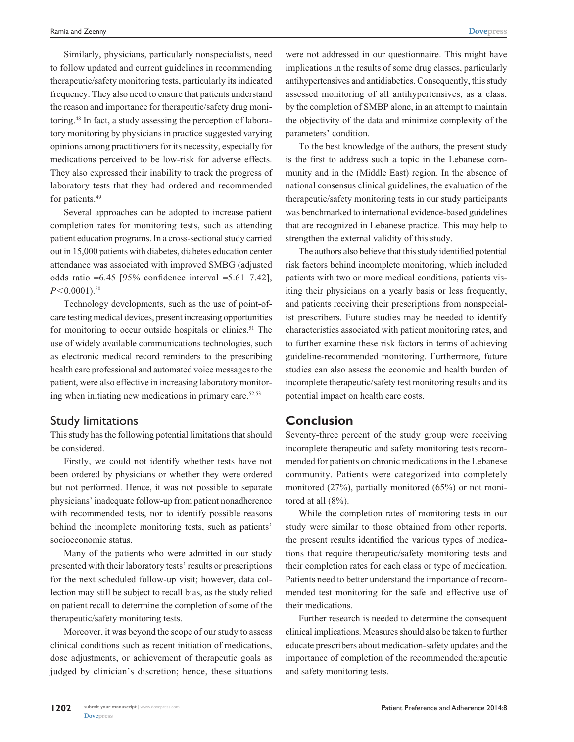Similarly, physicians, particularly nonspecialists, need to follow updated and current guidelines in recommending therapeutic/safety monitoring tests, particularly its indicated frequency. They also need to ensure that patients understand the reason and importance for therapeutic/safety drug monitoring.48 In fact, a study assessing the perception of laboratory monitoring by physicians in practice suggested varying opinions among practitioners for its necessity, especially for medications perceived to be low-risk for adverse effects. They also expressed their inability to track the progress of laboratory tests that they had ordered and recommended for patients.<sup>49</sup>

Several approaches can be adopted to increase patient completion rates for monitoring tests, such as attending patient education programs. In a cross-sectional study carried out in 15,000 patients with diabetes, diabetes education center attendance was associated with improved SMBG (adjusted odds ratio =6.45 [95% confidence interval =5.61–7.42],  $P \leq 0.0001$ .<sup>50</sup>

Technology developments, such as the use of point-ofcare testing medical devices, present increasing opportunities for monitoring to occur outside hospitals or clinics.<sup>51</sup> The use of widely available communications technologies, such as electronic medical record reminders to the prescribing health care professional and automated voice messages to the patient, were also effective in increasing laboratory monitoring when initiating new medications in primary care. $52,53$ 

## Study limitations

This study has the following potential limitations that should be considered.

Firstly, we could not identify whether tests have not been ordered by physicians or whether they were ordered but not performed. Hence, it was not possible to separate physicians' inadequate follow-up from patient nonadherence with recommended tests, nor to identify possible reasons behind the incomplete monitoring tests, such as patients' socioeconomic status.

Many of the patients who were admitted in our study presented with their laboratory tests' results or prescriptions for the next scheduled follow-up visit; however, data collection may still be subject to recall bias, as the study relied on patient recall to determine the completion of some of the therapeutic/safety monitoring tests.

Moreover, it was beyond the scope of our study to assess clinical conditions such as recent initiation of medications, dose adjustments, or achievement of therapeutic goals as judged by clinician's discretion; hence, these situations

were not addressed in our questionnaire. This might have implications in the results of some drug classes, particularly antihypertensives and antidiabetics. Consequently, this study assessed monitoring of all antihypertensives, as a class, by the completion of SMBP alone, in an attempt to maintain the objectivity of the data and minimize complexity of the parameters' condition.

To the best knowledge of the authors, the present study is the first to address such a topic in the Lebanese community and in the (Middle East) region. In the absence of national consensus clinical guidelines, the evaluation of the therapeutic/safety monitoring tests in our study participants was benchmarked to international evidence-based guidelines that are recognized in Lebanese practice. This may help to strengthen the external validity of this study.

The authors also believe that this study identified potential risk factors behind incomplete monitoring, which included patients with two or more medical conditions, patients visiting their physicians on a yearly basis or less frequently, and patients receiving their prescriptions from nonspecialist prescribers. Future studies may be needed to identify characteristics associated with patient monitoring rates, and to further examine these risk factors in terms of achieving guideline-recommended monitoring. Furthermore, future studies can also assess the economic and health burden of incomplete therapeutic/safety test monitoring results and its potential impact on health care costs.

## **Conclusion**

Seventy-three percent of the study group were receiving incomplete therapeutic and safety monitoring tests recommended for patients on chronic medications in the Lebanese community. Patients were categorized into completely monitored (27%), partially monitored (65%) or not monitored at all (8%).

While the completion rates of monitoring tests in our study were similar to those obtained from other reports, the present results identified the various types of medications that require therapeutic/safety monitoring tests and their completion rates for each class or type of medication. Patients need to better understand the importance of recommended test monitoring for the safe and effective use of their medications.

Further research is needed to determine the consequent clinical implications. Measures should also be taken to further educate prescribers about medication-safety updates and the importance of completion of the recommended therapeutic and safety monitoring tests.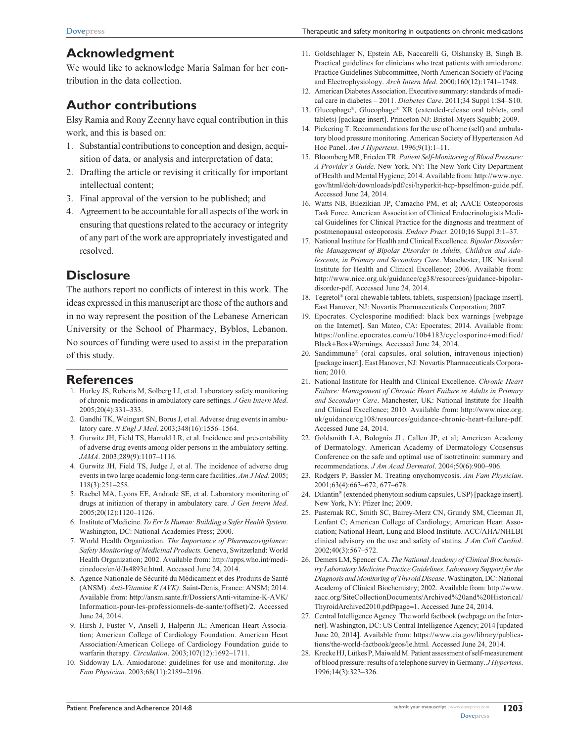# **Acknowledgment**

We would like to acknowledge Maria Salman for her contribution in the data collection.

# **Author contributions**

Elsy Ramia and Rony Zeenny have equal contribution in this work, and this is based on:

- 1. Substantial contributions to conception and design, acquisition of data, or analysis and interpretation of data;
- 2. Drafting the article or revising it critically for important intellectual content;
- 3. Final approval of the version to be published; and
- 4. Agreement to be accountable for all aspects of the work in ensuring that questions related to the accuracy or integrity of any part of the work are appropriately investigated and resolved.

# **Disclosure**

The authors report no conflicts of interest in this work. The ideas expressed in this manuscript are those of the authors and in no way represent the position of the Lebanese American University or the School of Pharmacy, Byblos, Lebanon. No sources of funding were used to assist in the preparation of this study.

# **References**

- 1. Hurley JS, Roberts M, Solberg LI, et al. Laboratory safety monitoring of chronic medications in ambulatory care settings. *J Gen Intern Med*. 2005;20(4):331–333.
- 2. Gandhi TK, Weingart SN, Borus J, et al. Adverse drug events in ambulatory care. *N Engl J Med*. 2003;348(16):1556–1564.
- 3. Gurwitz JH, Field TS, Harrold LR, et al. Incidence and preventability of adverse drug events among older persons in the ambulatory setting. *JAMA*. 2003;289(9):1107–1116.
- 4. Gurwitz JH, Field TS, Judge J, et al. The incidence of adverse drug events in two large academic long-term care facilities. *Am J Med*. 2005; 118(3):251–258.
- 5. Raebel MA, Lyons EE, Andrade SE, et al. Laboratory monitoring of drugs at initiation of therapy in ambulatory care. *J Gen Intern Med*. 2005;20(12):1120–1126.
- 6. Institute of Medicine. *To Err Is Human: Building a Safer Health System*. Washington, DC: National Academies Press; 2000.
- 7. World Health Organization. *The Importance of Pharmacovigilance: Safety Monitoring of Medicinal Products.* Geneva, Switzerland: World Health Organization; 2002. Available from: http://apps.who.int/medicinedocs/en/d/Js4893e.html. Accessed June 24, 2014.
- 8. Agence Nationale de Sécurité du Médicament et des Produits de Santé (ANSM). *Anti-Vitamine K (AVK).* Saint-Denis, France: ANSM; 2014. Available from: [http://ansm.sante.fr/Dossiers/Anti-vitamine-K-AVK/](http://ansm.sante.fr/Dossiers/Anti-vitamine-K-AVK/Information-pour-les-professionnels-de-sante/(offset)/2) [Information-pour-les-professionnels-de-sante/\(offset\)/2.](http://ansm.sante.fr/Dossiers/Anti-vitamine-K-AVK/Information-pour-les-professionnels-de-sante/(offset)/2) Accessed June 24, 2014.
- 9. Hirsh J, Fuster V, Ansell J, Halperin JL; American Heart Association; American College of Cardiology Foundation. American Heart Association/American College of Cardiology Foundation guide to warfarin therapy. *Circulation*. 2003;107(12):1692–1711.
- 10. Siddoway LA. Amiodarone: guidelines for use and monitoring. *Am Fam Physician.* 2003;68(11):2189–2196.
- 11. Goldschlager N, Epstein AE, Naccarelli G, Olshansky B, Singh B. Practical guidelines for clinicians who treat patients with amiodarone. Practice Guidelines Subcommittee, North American Society of Pacing and Electrophysiology. *Arch Intern Med*. 2000;160(12):1741–1748.
- 12. American Diabetes Association. Executive summary: standards of medical care in diabetes – 2011. *Diabetes Care*. 2011;34 Suppl 1:S4–S10.
- 13. Glucophage®, Glucophage® XR (extended-release oral tablets, oral tablets) [package insert]. Princeton NJ: Bristol-Myers Squibb; 2009.
- 14. Pickering T. Recommendations for the use of home (self) and ambulatory blood pressure monitoring. American Society of Hypertension Ad Hoc Panel. *Am J Hypertens*. 1996;9(1):1–11.
- 15. Bloomberg MR, Frieden TR. *Patient Self-Monitoring of Blood Pressure: A Provider's Guide.* New York, NY: The New York City Department of Health and Mental Hygiene; 2014. Available from: http://www.nyc. gov/html/doh/downloads/pdf/csi/hyperkit-hcp-bpselfmon-guide.pdf. Accessed June 24, 2014.
- 16. Watts NB, Bilezikian JP, Camacho PM, et al; AACE Osteoporosis Task Force. American Association of Clinical Endocrinologists Medical Guidelines for Clinical Practice for the diagnosis and treatment of postmenopausal osteoporosis. *Endocr Pract.* 2010;16 Suppl 3:1–37.
- 17. National Institute for Health and Clinical Excellence. *Bipolar Disorder: the Management of Bipolar Disorder in Adults, Children and Adolescents, in Primary and Secondary Care*. Manchester, UK: National Institute for Health and Clinical Excellence; 2006. Available from: http://www.nice.org.uk/guidance/cg38/resources/guidance-bipolardisorder-pdf. Accessed June 24, 2014.
- 18. Tegretol® (oral chewable tablets, tablets, suspension) [package insert]. East Hanover, NJ: Novartis Pharmaceuticals Corporation; 2007.
- 19. Epocrates. Cyclosporine modified: black box warnings [webpage on the Internet]. San Mateo, CA: Epocrates; 2014. Available from: https://online.epocrates.com/u/10b4183/cyclosporine+modified/ Black+Box+Warnings. Accessed June 24, 2014.
- 20. Sandimmune® (oral capsules, oral solution, intravenous injection) [package insert]. East Hanover, NJ: Novartis Pharmaceuticals Corporation; 2010.
- 21. National Institute for Health and Clinical Excellence. *Chronic Heart Failure: Management of Chronic Heart Failure in Adults in Primary and Secondary Care*. Manchester, UK: National Institute for Health and Clinical Excellence; 2010. Available from: http://www.nice.org. uk/guidance/cg108/resources/guidance-chronic-heart-failure-pdf. Accessed June 24, 2014.
- 22. Goldsmith LA, Bolognia JL, Callen JP, et al; American Academy of Dermatology. American Academy of Dermatology Consensus Conference on the safe and optimal use of isotretinoin: summary and recommendations*. J Am Acad Dermatol*. 2004;50(6):900–906.
- 23. Rodgers P, Bassler M. Treating onychomycosis. *Am Fam Physician*. 2001;63(4):663–672, 677–678.
- 24. Dilantin® (extended phenytoin sodium capsules, USP) [package insert]. New York, NY: Pfizer Inc; 2009.
- 25. Pasternak RC, Smith SC, Bairey-Merz CN, Grundy SM, Cleeman JI, Lenfant C; American College of Cardiology; American Heart Association; National Heart, Lung and Blood Institute. ACC/AHA/NHLBI clinical advisory on the use and safety of statins. *J Am Coll Cardiol*. 2002;40(3):567–572.
- 26. Demers LM, Spencer CA. *The National Academy of Clinical Biochemistry Laboratory Medicine Practice Guidelines. Laboratory Support for the Diagnosis and Monitoring of Thyroid Disease*. Washington, DC: National Academy of Clinical Biochemistry; 2002. Available from: http://www. aacc.org/SiteCollectionDocuments/Archived%20and%20Historical/ ThyroidArchived2010.pdf#page=1. Accessed June 24, 2014.
- 27. Central Intelligence Agency. The world factbook (webpage on the Internet]. Washington, DC: US Central Intelligence Agency; 2014 [updated June 20, 2014]. Available from: https://www.cia.gov/library/publications/the-world-factbook/geos/le.html. Accessed June 24, 2014.
- 28. Krecke HJ, Lütkes P, Maiwald M. Patient assessment of self-measurement of blood pressure: results of a telephone survey in Germany. *J Hypertens*. 1996;14(3):323–326.